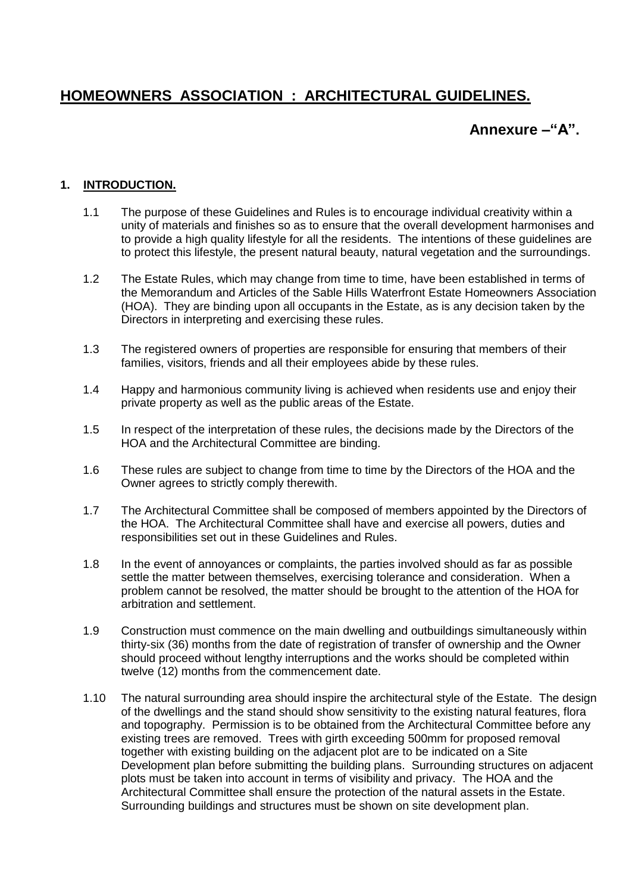# **HOMEOWNERS ASSOCIATION : ARCHITECTURAL GUIDELINES.**

## **Annexure –"A".**

#### **1. INTRODUCTION.**

- 1.1 The purpose of these Guidelines and Rules is to encourage individual creativity within a unity of materials and finishes so as to ensure that the overall development harmonises and to provide a high quality lifestyle for all the residents. The intentions of these guidelines are to protect this lifestyle, the present natural beauty, natural vegetation and the surroundings.
- 1.2 The Estate Rules, which may change from time to time, have been established in terms of the Memorandum and Articles of the Sable Hills Waterfront Estate Homeowners Association (HOA). They are binding upon all occupants in the Estate, as is any decision taken by the Directors in interpreting and exercising these rules.
- 1.3 The registered owners of properties are responsible for ensuring that members of their families, visitors, friends and all their employees abide by these rules.
- 1.4 Happy and harmonious community living is achieved when residents use and enjoy their private property as well as the public areas of the Estate.
- 1.5 In respect of the interpretation of these rules, the decisions made by the Directors of the HOA and the Architectural Committee are binding.
- 1.6 These rules are subject to change from time to time by the Directors of the HOA and the Owner agrees to strictly comply therewith.
- 1.7 The Architectural Committee shall be composed of members appointed by the Directors of the HOA. The Architectural Committee shall have and exercise all powers, duties and responsibilities set out in these Guidelines and Rules.
- 1.8 In the event of annoyances or complaints, the parties involved should as far as possible settle the matter between themselves, exercising tolerance and consideration. When a problem cannot be resolved, the matter should be brought to the attention of the HOA for arbitration and settlement.
- 1.9 Construction must commence on the main dwelling and outbuildings simultaneously within thirty-six (36) months from the date of registration of transfer of ownership and the Owner should proceed without lengthy interruptions and the works should be completed within twelve (12) months from the commencement date.
- 1.10 The natural surrounding area should inspire the architectural style of the Estate. The design of the dwellings and the stand should show sensitivity to the existing natural features, flora and topography. Permission is to be obtained from the Architectural Committee before any existing trees are removed. Trees with girth exceeding 500mm for proposed removal together with existing building on the adjacent plot are to be indicated on a Site Development plan before submitting the building plans. Surrounding structures on adjacent plots must be taken into account in terms of visibility and privacy. The HOA and the Architectural Committee shall ensure the protection of the natural assets in the Estate. Surrounding buildings and structures must be shown on site development plan.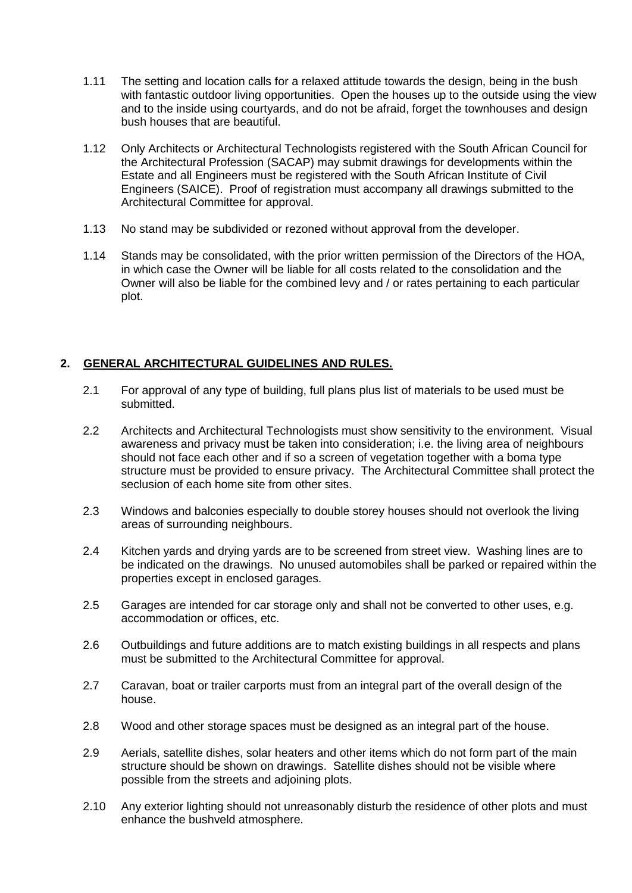- 1.11 The setting and location calls for a relaxed attitude towards the design, being in the bush with fantastic outdoor living opportunities. Open the houses up to the outside using the view and to the inside using courtyards, and do not be afraid, forget the townhouses and design bush houses that are beautiful.
- 1.12 Only Architects or Architectural Technologists registered with the South African Council for the Architectural Profession (SACAP) may submit drawings for developments within the Estate and all Engineers must be registered with the South African Institute of Civil Engineers (SAICE). Proof of registration must accompany all drawings submitted to the Architectural Committee for approval.
- 1.13 No stand may be subdivided or rezoned without approval from the developer.
- 1.14 Stands may be consolidated, with the prior written permission of the Directors of the HOA, in which case the Owner will be liable for all costs related to the consolidation and the Owner will also be liable for the combined levy and / or rates pertaining to each particular plot.

## **2. GENERAL ARCHITECTURAL GUIDELINES AND RULES.**

- 2.1 For approval of any type of building, full plans plus list of materials to be used must be submitted.
- 2.2 Architects and Architectural Technologists must show sensitivity to the environment. Visual awareness and privacy must be taken into consideration; i.e. the living area of neighbours should not face each other and if so a screen of vegetation together with a boma type structure must be provided to ensure privacy. The Architectural Committee shall protect the seclusion of each home site from other sites.
- 2.3 Windows and balconies especially to double storey houses should not overlook the living areas of surrounding neighbours.
- 2.4 Kitchen yards and drying yards are to be screened from street view. Washing lines are to be indicated on the drawings. No unused automobiles shall be parked or repaired within the properties except in enclosed garages.
- 2.5 Garages are intended for car storage only and shall not be converted to other uses, e.g. accommodation or offices, etc.
- 2.6 Outbuildings and future additions are to match existing buildings in all respects and plans must be submitted to the Architectural Committee for approval.
- 2.7 Caravan, boat or trailer carports must from an integral part of the overall design of the house.
- 2.8 Wood and other storage spaces must be designed as an integral part of the house.
- 2.9 Aerials, satellite dishes, solar heaters and other items which do not form part of the main structure should be shown on drawings. Satellite dishes should not be visible where possible from the streets and adjoining plots.
- 2.10 Any exterior lighting should not unreasonably disturb the residence of other plots and must enhance the bushveld atmosphere.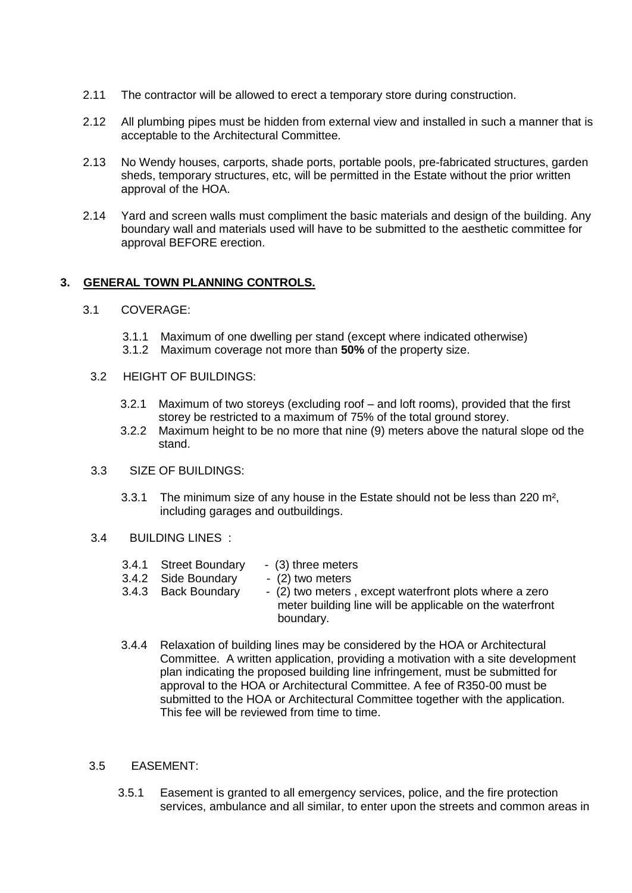- 2.11 The contractor will be allowed to erect a temporary store during construction.
- 2.12 All plumbing pipes must be hidden from external view and installed in such a manner that is acceptable to the Architectural Committee.
- 2.13 No Wendy houses, carports, shade ports, portable pools, pre-fabricated structures, garden sheds, temporary structures, etc, will be permitted in the Estate without the prior written approval of the HOA.
- 2.14 Yard and screen walls must compliment the basic materials and design of the building. Any boundary wall and materials used will have to be submitted to the aesthetic committee for approval BEFORE erection.

#### **3. GENERAL TOWN PLANNING CONTROLS.**

- 3.1 COVERAGE:
	- 3.1.1 Maximum of one dwelling per stand (except where indicated otherwise)
	- 3.1.2 Maximum coverage not more than **50%** of the property size.
	- 3.2 HEIGHT OF BUILDINGS:
		- 3.2.1 Maximum of two storeys (excluding roof and loft rooms), provided that the first storey be restricted to a maximum of 75% of the total ground storey.
		- 3.2.2 Maximum height to be no more that nine (9) meters above the natural slope od the stand.
	- 3.3 SIZE OF BUILDINGS:
		- 3.3.1 The minimum size of any house in the Estate should not be less than 220 m², including garages and outbuildings.
	- 3.4 BUILDING LINES :
		- 3.4.1 Street Boundary (3) three meters<br>3.4.2 Side Boundary (2) two meters
		- 3.4.2 Side Boundary
		- 3.4.3 Back Boundary (2) two meters , except waterfront plots where a zero meter building line will be applicable on the waterfront boundary.
		- 3.4.4 Relaxation of building lines may be considered by the HOA or Architectural Committee. A written application, providing a motivation with a site development plan indicating the proposed building line infringement, must be submitted for approval to the HOA or Architectural Committee. A fee of R350-00 must be submitted to the HOA or Architectural Committee together with the application. This fee will be reviewed from time to time.
	- 3.5 EASEMENT:
		- 3.5.1 Easement is granted to all emergency services, police, and the fire protection services, ambulance and all similar, to enter upon the streets and common areas in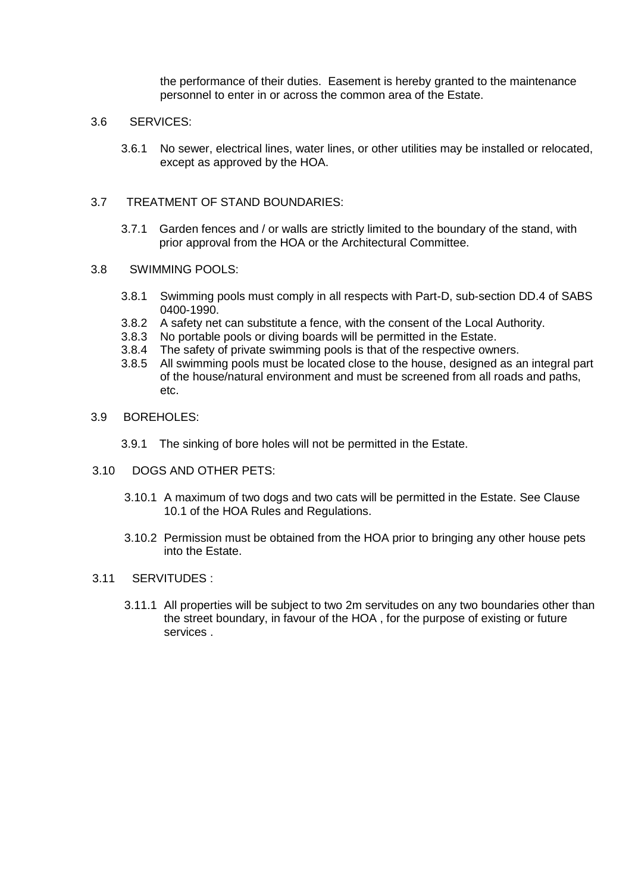the performance of their duties. Easement is hereby granted to the maintenance personnel to enter in or across the common area of the Estate.

#### 3.6 SERVICES:

3.6.1 No sewer, electrical lines, water lines, or other utilities may be installed or relocated, except as approved by the HOA.

#### 3.7 TREATMENT OF STAND BOUNDARIES:

3.7.1 Garden fences and / or walls are strictly limited to the boundary of the stand, with prior approval from the HOA or the Architectural Committee.

#### 3.8 SWIMMING POOLS:

- 3.8.1 Swimming pools must comply in all respects with Part-D, sub-section DD.4 of SABS 0400-1990.
- 3.8.2 A safety net can substitute a fence, with the consent of the Local Authority.
- 3.8.3 No portable pools or diving boards will be permitted in the Estate.
- 3.8.4 The safety of private swimming pools is that of the respective owners.
- 3.8.5 All swimming pools must be located close to the house, designed as an integral part of the house/natural environment and must be screened from all roads and paths, etc.
- 3.9 BOREHOLES:
	- 3.9.1 The sinking of bore holes will not be permitted in the Estate.
- 3.10 DOGS AND OTHER PETS:
	- 3.10.1 A maximum of two dogs and two cats will be permitted in the Estate. See Clause 10.1 of the HOA Rules and Regulations.
	- 3.10.2 Permission must be obtained from the HOA prior to bringing any other house pets into the Estate.

#### 3.11 SERVITUDES :

3.11.1 All properties will be subject to two 2m servitudes on any two boundaries other than the street boundary, in favour of the HOA , for the purpose of existing or future services .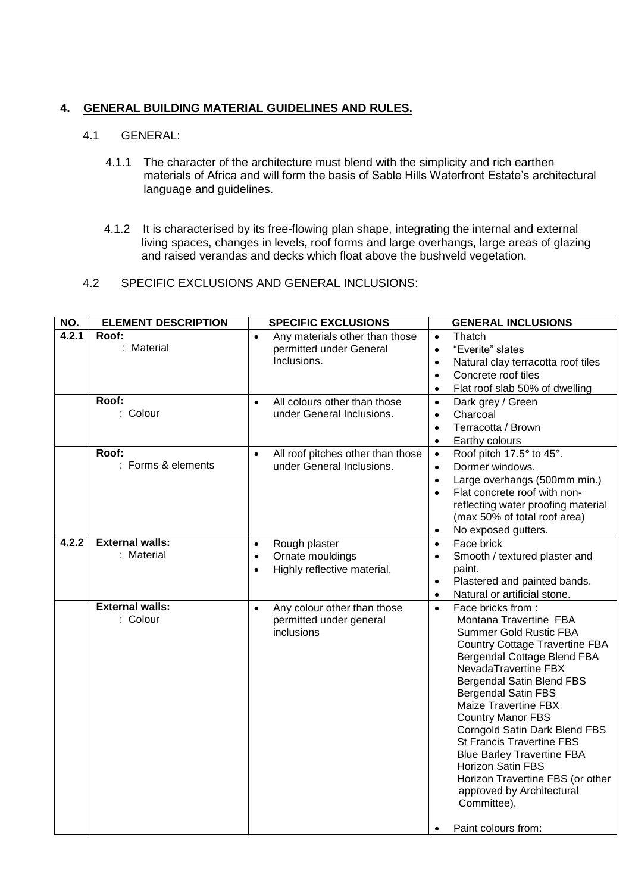## **4. GENERAL BUILDING MATERIAL GUIDELINES AND RULES.**

## 4.1 GENERAL:

- 4.1.1 The character of the architecture must blend with the simplicity and rich earthen materials of Africa and will form the basis of Sable Hills Waterfront Estate's architectural language and guidelines.
- 4.1.2 It is characterised by its free-flowing plan shape, integrating the internal and external living spaces, changes in levels, roof forms and large overhangs, large areas of glazing and raised verandas and decks which float above the bushveld vegetation.

## 4.2 SPECIFIC EXCLUSIONS AND GENERAL INCLUSIONS:

| NO.   | <b>ELEMENT DESCRIPTION</b>           | <b>SPECIFIC EXCLUSIONS</b>                                                                              | <b>GENERAL INCLUSIONS</b>                                                                                                                                                                                                                                                                                                                                                                                                                                                                                                                                    |
|-------|--------------------------------------|---------------------------------------------------------------------------------------------------------|--------------------------------------------------------------------------------------------------------------------------------------------------------------------------------------------------------------------------------------------------------------------------------------------------------------------------------------------------------------------------------------------------------------------------------------------------------------------------------------------------------------------------------------------------------------|
| 4.2.1 | Roof:<br>: Material                  | Any materials other than those<br>$\bullet$<br>permitted under General<br>Inclusions.                   | Thatch<br>$\bullet$<br>"Everite" slates<br>$\bullet$<br>Natural clay terracotta roof tiles<br>$\bullet$<br>Concrete roof tiles<br>$\bullet$<br>Flat roof slab 50% of dwelling<br>$\bullet$                                                                                                                                                                                                                                                                                                                                                                   |
|       | Roof:<br>: Colour                    | All colours other than those<br>$\bullet$<br>under General Inclusions.                                  | Dark grey / Green<br>$\bullet$<br>Charcoal<br>$\bullet$<br>Terracotta / Brown<br>$\bullet$<br>Earthy colours<br>$\bullet$                                                                                                                                                                                                                                                                                                                                                                                                                                    |
|       | Roof:<br>: Forms & elements          | All roof pitches other than those<br>$\bullet$<br>under General Inclusions.                             | Roof pitch 17.5° to 45°.<br>$\bullet$<br>Dormer windows.<br>$\bullet$<br>Large overhangs (500mm min.)<br>$\bullet$<br>Flat concrete roof with non-<br>$\bullet$<br>reflecting water proofing material<br>(max 50% of total roof area)<br>No exposed gutters.<br>$\bullet$                                                                                                                                                                                                                                                                                    |
| 4.2.2 | <b>External walls:</b><br>: Material | Rough plaster<br>$\bullet$<br>Ornate mouldings<br>$\bullet$<br>Highly reflective material.<br>$\bullet$ | Face brick<br>$\bullet$<br>Smooth / textured plaster and<br>$\bullet$<br>paint.<br>Plastered and painted bands.<br>$\bullet$<br>Natural or artificial stone.<br>$\bullet$                                                                                                                                                                                                                                                                                                                                                                                    |
|       | <b>External walls:</b><br>: Colour   | Any colour other than those<br>$\bullet$<br>permitted under general<br>inclusions                       | Face bricks from:<br>$\bullet$<br>Montana Travertine FBA<br><b>Summer Gold Rustic FBA</b><br><b>Country Cottage Travertine FBA</b><br>Bergendal Cottage Blend FBA<br>NevadaTravertine FBX<br>Bergendal Satin Blend FBS<br><b>Bergendal Satin FBS</b><br><b>Maize Travertine FBX</b><br><b>Country Manor FBS</b><br>Corngold Satin Dark Blend FBS<br><b>St Francis Travertine FBS</b><br><b>Blue Barley Travertine FBA</b><br><b>Horizon Satin FBS</b><br>Horizon Travertine FBS (or other<br>approved by Architectural<br>Committee).<br>Paint colours from: |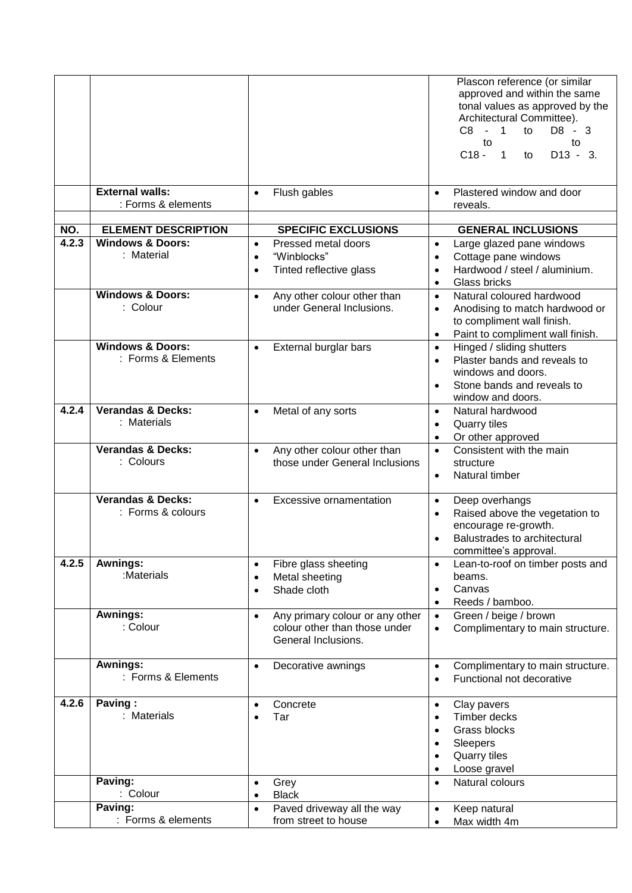|              |                                                           |                                                                                                      | Plascon reference (or similar<br>approved and within the same<br>tonal values as approved by the<br>Architectural Committee).<br>$C8 - 1$<br>to<br>D8 - 3<br>to<br>to<br>$C18 -$<br>$D13 - 3$ .<br>$\overline{1}$<br>to |
|--------------|-----------------------------------------------------------|------------------------------------------------------------------------------------------------------|-------------------------------------------------------------------------------------------------------------------------------------------------------------------------------------------------------------------------|
|              | <b>External walls:</b><br>: Forms & elements              | Flush gables<br>$\bullet$                                                                            | Plastered window and door<br>$\bullet$<br>reveals.                                                                                                                                                                      |
|              |                                                           |                                                                                                      |                                                                                                                                                                                                                         |
| NO.<br>4.2.3 | <b>ELEMENT DESCRIPTION</b><br><b>Windows &amp; Doors:</b> | <b>SPECIFIC EXCLUSIONS</b><br>Pressed metal doors<br>$\bullet$                                       | <b>GENERAL INCLUSIONS</b><br>$\bullet$                                                                                                                                                                                  |
|              | : Material                                                | "Winblocks"<br>$\bullet$<br>Tinted reflective glass                                                  | Large glazed pane windows<br>Cottage pane windows<br>$\bullet$<br>Hardwood / steel / aluminium.<br>$\bullet$<br>Glass bricks<br>$\bullet$                                                                               |
|              | <b>Windows &amp; Doors:</b><br>: Colour                   | Any other colour other than<br>$\bullet$<br>under General Inclusions.                                | Natural coloured hardwood<br>$\bullet$<br>Anodising to match hardwood or<br>$\bullet$<br>to compliment wall finish.<br>Paint to compliment wall finish.<br>$\bullet$                                                    |
|              | <b>Windows &amp; Doors:</b><br>: Forms & Elements         | External burglar bars<br>$\bullet$                                                                   | Hinged / sliding shutters<br>$\bullet$<br>Plaster bands and reveals to<br>$\bullet$<br>windows and doors.<br>Stone bands and reveals to<br>$\bullet$<br>window and doors.                                               |
| 4.2.4        | <b>Verandas &amp; Decks:</b><br>: Materials               | Metal of any sorts<br>$\bullet$                                                                      | Natural hardwood<br>$\bullet$<br><b>Quarry tiles</b><br>$\bullet$<br>Or other approved<br>$\bullet$                                                                                                                     |
|              | <b>Verandas &amp; Decks:</b><br>: Colours                 | Any other colour other than<br>$\bullet$<br>those under General Inclusions                           | Consistent with the main<br>$\bullet$<br>structure<br>Natural timber<br>$\bullet$                                                                                                                                       |
|              | <b>Verandas &amp; Decks:</b><br>: Forms & colours         | <b>Excessive ornamentation</b><br>$\bullet$                                                          | Deep overhangs<br>$\bullet$<br>Raised above the vegetation to<br>$\bullet$<br>encourage re-growth.<br>Balustrades to architectural<br>committee's approval.                                                             |
| 4.2.5        | Awnings:<br>:Materials                                    | Fibre glass sheeting<br>$\bullet$<br>Metal sheeting<br>$\bullet$<br>Shade cloth<br>$\bullet$         | Lean-to-roof on timber posts and<br>$\bullet$<br>beams.<br>Canvas<br>$\bullet$<br>Reeds / bamboo.<br>$\bullet$                                                                                                          |
|              | Awnings:<br>: Colour                                      | Any primary colour or any other<br>$\bullet$<br>colour other than those under<br>General Inclusions. | Green / beige / brown<br>$\bullet$<br>Complimentary to main structure.<br>$\bullet$                                                                                                                                     |
|              | <b>Awnings:</b><br>: Forms & Elements                     | Decorative awnings<br>$\bullet$                                                                      | Complimentary to main structure.<br>$\bullet$<br>Functional not decorative<br>$\bullet$                                                                                                                                 |
| 4.2.6        | Paving:<br>: Materials                                    | Concrete<br>$\bullet$<br>Tar<br>$\bullet$                                                            | Clay pavers<br>$\bullet$<br>Timber decks<br>$\bullet$<br>Grass blocks<br>$\bullet$<br>Sleepers<br>$\bullet$<br>Quarry tiles<br>$\bullet$<br>Loose gravel<br>$\bullet$                                                   |
|              | Paving:<br>: Colour                                       | Grey<br>$\bullet$<br><b>Black</b><br>$\bullet$                                                       | Natural colours<br>$\bullet$                                                                                                                                                                                            |
|              | Paving:<br>: Forms & elements                             | Paved driveway all the way<br>$\bullet$<br>from street to house                                      | Keep natural<br>$\bullet$<br>Max width 4m                                                                                                                                                                               |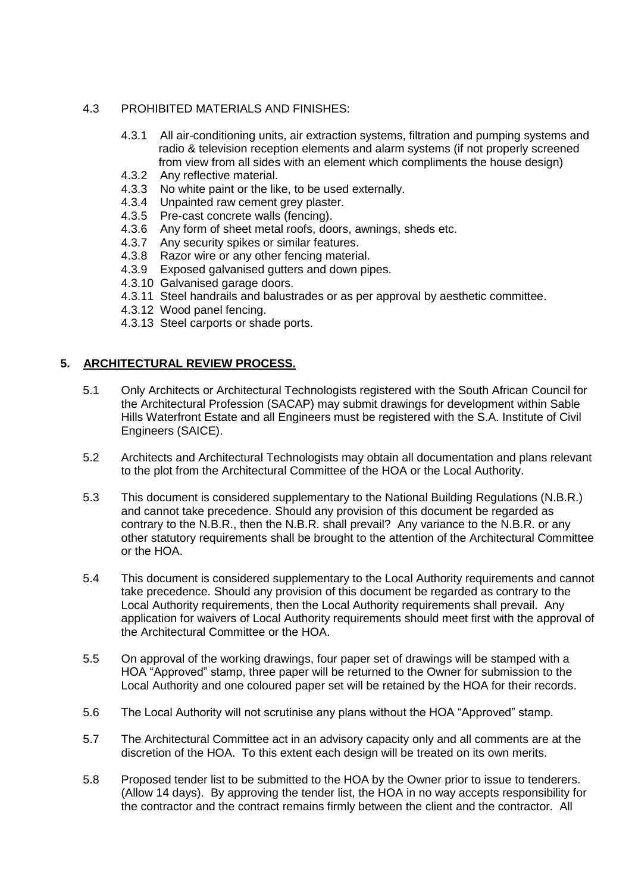## 4.3 PROHIBITED MATERIALS AND FINISHES:

- 4.3.1 All air-conditioning units, air extraction systems, filtration and pumping systems and radio & television reception elements and alarm systems (if not properly screened from view from all sides with an element which compliments the house design)
- 4.3.2 Any reflective material.
- 4.3.3 No white paint or the like, to be used externally.
- 4.3.4 Unpainted raw cement grey plaster.
- 4.3.5 Pre-cast concrete walls (fencing).
- 4.3.6 Any form of sheet metal roofs, doors, awnings, sheds etc.
- 4.3.7 Any security spikes or similar features.
- 4.3.8 Razor wire or any other fencing material.
- 4.3.9 Exposed galvanised gutters and down pipes.
- 4.3.10 Galvanised garage doors.
- 4.3.11 Steel handrails and balustrades or as per approval by aesthetic committee.
- 4.3.12 Wood panel fencing.
- 4.3.13 Steel carports or shade ports.

## **5. ARCHITECTURAL REVIEW PROCESS.**

- 5.1 Only Architects or Architectural Technologists registered with the South African Council for the Architectural Profession (SACAP) may submit drawings for development within Sable Hills Waterfront Estate and all Engineers must be registered with the S.A. Institute of Civil Engineers (SAICE).
- 5.2 Architects and Architectural Technologists may obtain all documentation and plans relevant to the plot from the Architectural Committee of the HOA or the Local Authority.
- 5.3 This document is considered supplementary to the National Building Regulations (N.B.R.) and cannot take precedence. Should any provision of this document be regarded as contrary to the N.B.R., then the N.B.R. shall prevail? Any variance to the N.B.R. or any other statutory requirements shall be brought to the attention of the Architectural Committee or the HOA.
- 5.4 This document is considered supplementary to the Local Authority requirements and cannot take precedence. Should any provision of this document be regarded as contrary to the Local Authority requirements, then the Local Authority requirements shall prevail. Any application for waivers of Local Authority requirements should meet first with the approval of the Architectural Committee or the HOA.
- 5.5 On approval of the working drawings, four paper set of drawings will be stamped with a HOA "Approved" stamp, three paper will be returned to the Owner for submission to the Local Authority and one coloured paper set will be retained by the HOA for their records.
- 5.6 The Local Authority will not scrutinise any plans without the HOA "Approved" stamp.
- 5.7 The Architectural Committee act in an advisory capacity only and all comments are at the discretion of the HOA. To this extent each design will be treated on its own merits.
- 5.8 Proposed tender list to be submitted to the HOA by the Owner prior to issue to tenderers. (Allow 14 days). By approving the tender list, the HOA in no way accepts responsibility for the contractor and the contract remains firmly between the client and the contractor. All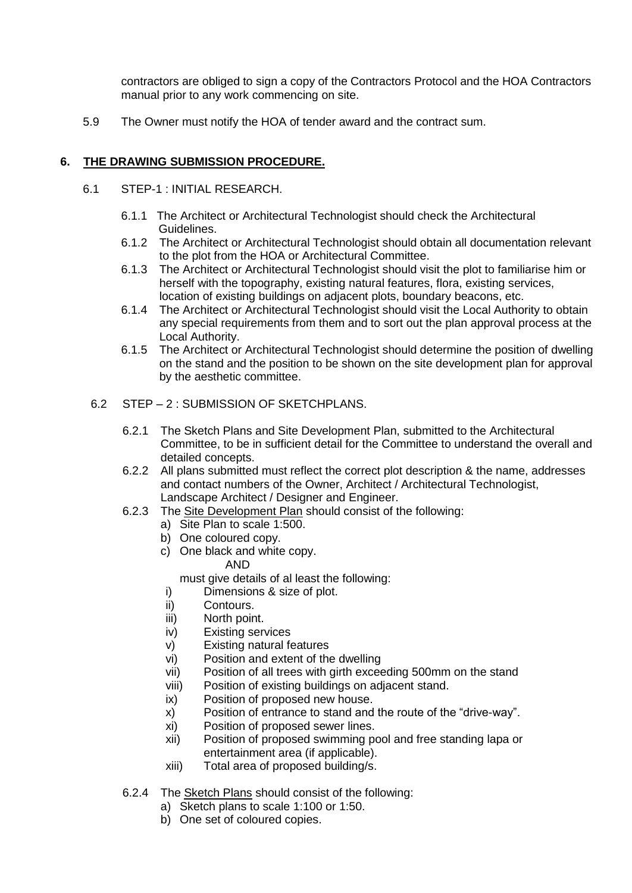contractors are obliged to sign a copy of the Contractors Protocol and the HOA Contractors manual prior to any work commencing on site.

5.9 The Owner must notify the HOA of tender award and the contract sum.

## **6. THE DRAWING SUBMISSION PROCEDURE.**

- 6.1 STEP-1 : INITIAL RESEARCH.
	- 6.1.1 The Architect or Architectural Technologist should check the Architectural Guidelines.
	- 6.1.2 The Architect or Architectural Technologist should obtain all documentation relevant to the plot from the HOA or Architectural Committee.
	- 6.1.3 The Architect or Architectural Technologist should visit the plot to familiarise him or herself with the topography, existing natural features, flora, existing services, location of existing buildings on adjacent plots, boundary beacons, etc.
	- 6.1.4 The Architect or Architectural Technologist should visit the Local Authority to obtain any special requirements from them and to sort out the plan approval process at the Local Authority.
	- 6.1.5 The Architect or Architectural Technologist should determine the position of dwelling on the stand and the position to be shown on the site development plan for approval by the aesthetic committee.
	- 6.2 STEP 2 : SUBMISSION OF SKETCHPLANS.
		- 6.2.1 The Sketch Plans and Site Development Plan, submitted to the Architectural Committee, to be in sufficient detail for the Committee to understand the overall and detailed concepts.
		- 6.2.2 All plans submitted must reflect the correct plot description & the name, addresses and contact numbers of the Owner, Architect / Architectural Technologist, Landscape Architect / Designer and Engineer.
		- 6.2.3 The Site Development Plan should consist of the following:
			- a) Site Plan to scale 1:500.
			- b) One coloured copy.
			- c) One black and white copy. AND

must give details of al least the following:

- i) Dimensions & size of plot.
- ii) Contours.
- iii) North point.
- iv) Existing services
- v) Existing natural features
- vi) Position and extent of the dwelling
- vii) Position of all trees with girth exceeding 500mm on the stand
- viii) Position of existing buildings on adjacent stand.
- ix) Position of proposed new house.
- x) Position of entrance to stand and the route of the "drive-way".
- xi) Position of proposed sewer lines.
- xii) Position of proposed swimming pool and free standing lapa or entertainment area (if applicable).
- xiii) Total area of proposed building/s.
- 6.2.4 The Sketch Plans should consist of the following:
	- a) Sketch plans to scale 1:100 or 1:50.
	- b) One set of coloured copies.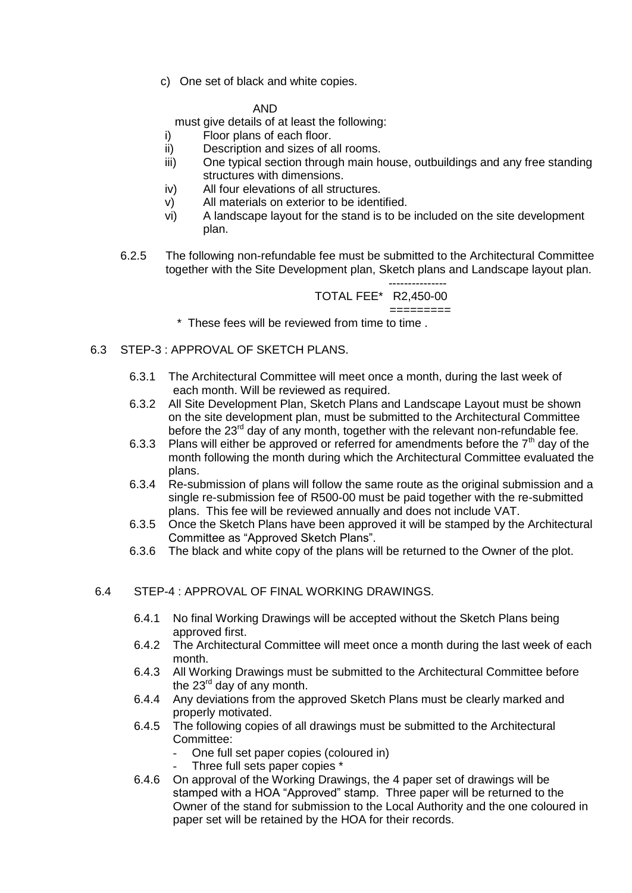c) One set of black and white copies.

#### AND

must give details of at least the following:

- i) Floor plans of each floor.
- ii) Description and sizes of all rooms.
- iii) One typical section through main house, outbuildings and any free standing structures with dimensions.
- iv) All four elevations of all structures.
- v) All materials on exterior to be identified.
- vi) A landscape layout for the stand is to be included on the site development plan.
- 6.2.5 The following non-refundable fee must be submitted to the Architectural Committee together with the Site Development plan, Sketch plans and Landscape layout plan.

 --------------- TOTAL FEE\* R2,450-00 =========

\* These fees will be reviewed from time to time .

- 6.3 STEP-3 : APPROVAL OF SKETCH PLANS.
	- 6.3.1 The Architectural Committee will meet once a month, during the last week of each month. Will be reviewed as required.
	- 6.3.2 All Site Development Plan, Sketch Plans and Landscape Layout must be shown on the site development plan, must be submitted to the Architectural Committee before the  $23<sup>rd</sup>$  day of any month, together with the relevant non-refundable fee.
	- 6.3.3 Plans will either be approved or referred for amendments before the  $7<sup>th</sup>$  day of the month following the month during which the Architectural Committee evaluated the plans.
	- 6.3.4 Re-submission of plans will follow the same route as the original submission and a single re-submission fee of R500-00 must be paid together with the re-submitted plans. This fee will be reviewed annually and does not include VAT.
	- 6.3.5 Once the Sketch Plans have been approved it will be stamped by the Architectural Committee as "Approved Sketch Plans".
	- 6.3.6 The black and white copy of the plans will be returned to the Owner of the plot.
- 6.4 STEP-4 : APPROVAL OF FINAL WORKING DRAWINGS.
	- 6.4.1 No final Working Drawings will be accepted without the Sketch Plans being approved first.
	- 6.4.2 The Architectural Committee will meet once a month during the last week of each month.
	- 6.4.3 All Working Drawings must be submitted to the Architectural Committee before the  $23<sup>rd</sup>$  day of any month.
	- 6.4.4 Any deviations from the approved Sketch Plans must be clearly marked and properly motivated.
	- 6.4.5 The following copies of all drawings must be submitted to the Architectural Committee:
		- One full set paper copies (coloured in)
		- Three full sets paper copies \*
	- 6.4.6 On approval of the Working Drawings, the 4 paper set of drawings will be stamped with a HOA "Approved" stamp. Three paper will be returned to the Owner of the stand for submission to the Local Authority and the one coloured in paper set will be retained by the HOA for their records.